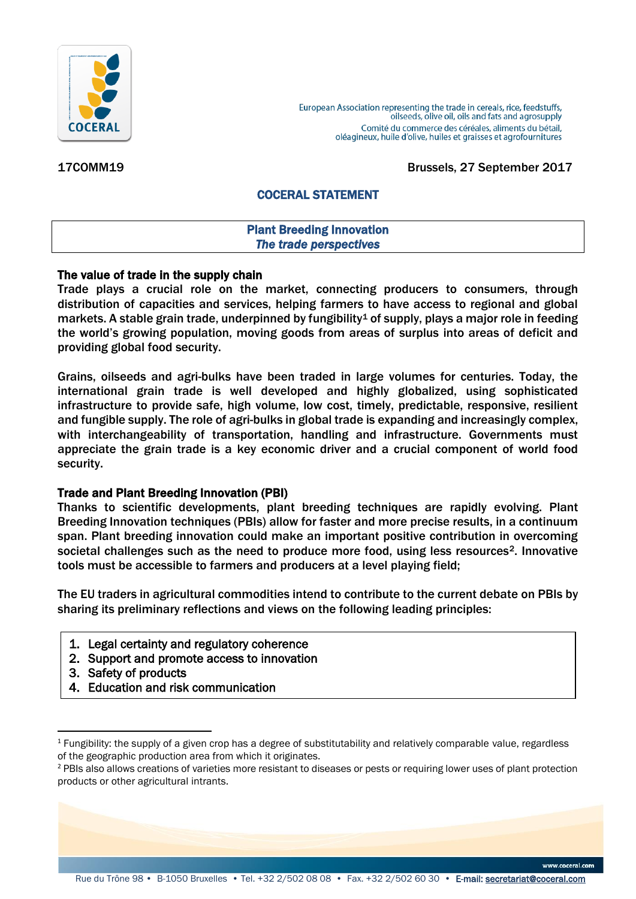

European Association representing the trade in cereals, rice, feedstuffs, oilseeds, olive oil, oils and fats and agrosupply Comité du commerce des céréales, aliments du bétail, oléagineux, huile d'olive, huiles et graisses et agrofournitures

17COMM19 Brussels, 27 September 2017

# COCERAL STATEMENT

#### Plant Breeding Innovation *The trade perspectives*

### The value of trade in the supply chain

Trade plays a crucial role on the market, connecting producers to consumers, through distribution of capacities and services, helping farmers to have access to regional and global markets. A stable grain trade, underpinned by fungibility<sup>1</sup> of supply, plays a major role in feeding the world's growing population, moving goods from areas of surplus into areas of deficit and providing global food security.

Grains, oilseeds and agri-bulks have been traded in large volumes for centuries. Today, the international grain trade is well developed and highly globalized, using sophisticated infrastructure to provide safe, high volume, low cost, timely, predictable, responsive, resilient and fungible supply. The role of agri-bulks in global trade is expanding and increasingly complex, with interchangeability of transportation, handling and infrastructure. Governments must appreciate the grain trade is a key economic driver and a crucial component of world food security.

### Trade and Plant Breeding Innovation (PBI)

Thanks to scientific developments, plant breeding techniques are rapidly evolving. Plant Breeding Innovation techniques (PBIs) allow for faster and more precise results, in a continuum span. Plant breeding innovation could make an important positive contribution in overcoming societal challenges such as the need to produce more food, using less resources<sup>2</sup>. Innovative tools must be accessible to farmers and producers at a level playing field;

The EU traders in agricultural commodities intend to contribute to the current debate on PBIs by sharing its preliminary reflections and views on the following leading principles:

- 1. Legal certainty and regulatory coherence
- 2. Support and promote access to innovation
- 3. Safety of products

**.** 

4. Education and risk communication

www.coceral.com

 $1$  Fungibility: the supply of a given crop has a degree of substitutability and relatively comparable value, regardless of the geographic production area from which it originates.

<sup>&</sup>lt;sup>2</sup> PBIs also allows creations of varieties more resistant to diseases or pests or requiring lower uses of plant protection products or other agricultural intrants.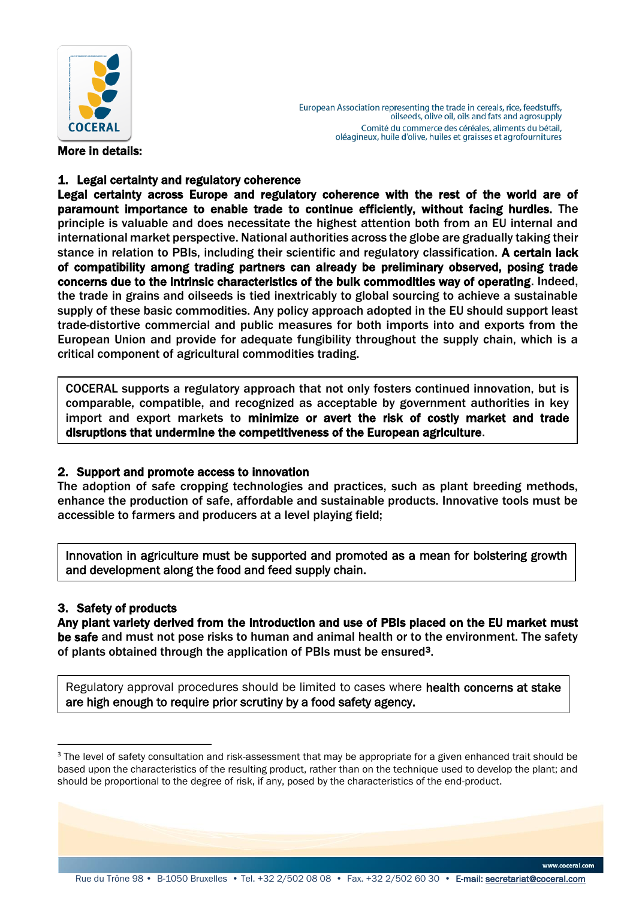

European Association representing the trade in cereals, rice, feedstuffs, oilseeds, olive oil, oils and fats and agrosupply Comité du commerce des céréales, aliments du bétail, oléagineux, huile d'olive, huiles et graisses et agrofournitures

# More in details:

# 1. Legal certainty and regulatory coherence

Legal certainty across Europe and regulatory coherence with the rest of the world are of paramount importance to enable trade to continue efficiently, without facing hurdles. The principle is valuable and does necessitate the highest attention both from an EU internal and international market perspective. National authorities across the globe are gradually taking their stance in relation to PBIs, including their scientific and regulatory classification. A certain lack of compatibility among trading partners can already be preliminary observed, posing trade concerns due to the intrinsic characteristics of the bulk commodities way of operating. Indeed, the trade in grains and oilseeds is tied inextricably to global sourcing to achieve a sustainable supply of these basic commodities. Any policy approach adopted in the EU should support least trade-distortive commercial and public measures for both imports into and exports from the European Union and provide for adequate fungibility throughout the supply chain, which is a critical component of agricultural commodities trading.

COCERAL supports a regulatory approach that not only fosters continued innovation, but is comparable, compatible, and recognized as acceptable by government authorities in key import and export markets to minimize or avert the risk of costly market and trade disruptions that undermine the competitiveness of the European agriculture.

### 2. Support and promote access to innovation

The adoption of safe cropping technologies and practices, such as plant breeding methods, enhance the production of safe, affordable and sustainable products. Innovative tools must be accessible to farmers and producers at a level playing field;

Innovation in agriculture must be supported and promoted as a mean for bolstering growth and development along the food and feed supply chain.

# 3. Safety of products

 $\overline{a}$ 

Any plant variety derived from the introduction and use of PBIs placed on the EU market must be safe and must not pose risks to human and animal health or to the environment. The safety of plants obtained through the application of PBIs must be ensured3.

Regulatory approval procedures should be limited to cases where health concerns at stake are high enough to require prior scrutiny by a food safety agency.

<sup>&</sup>lt;sup>3</sup> The level of safety consultation and risk-assessment that may be appropriate for a given enhanced trait should be based upon the characteristics of the resulting product, rather than on the technique used to develop the plant; and should be proportional to the degree of risk, if any, posed by the characteristics of the end-product.